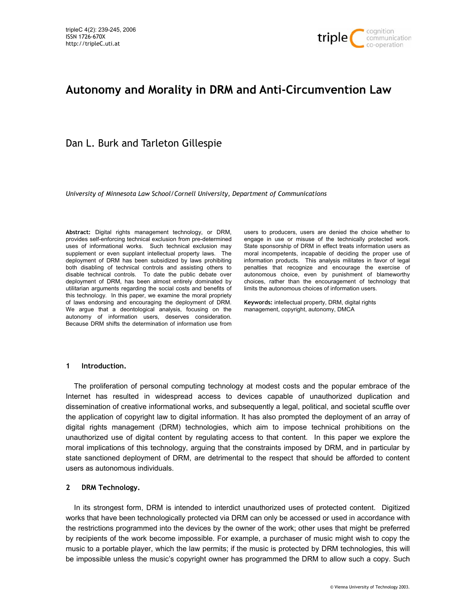

# **Autonomy and Morality in DRM and Anti-Circumvention Law**

Dan L. Burk and Tarleton Gillespie

*University of Minnesota Law School/Cornell University, Department of Communications* 

**Abstract:** Digital rights management technology, or DRM, provides self-enforcing technical exclusion from pre-determined uses of informational works. Such technical exclusion may supplement or even supplant intellectual property laws. The deployment of DRM has been subsidized by laws prohibiting both disabling of technical controls and assisting others to disable technical controls. To date the public debate over deployment of DRM, has been almost entirely dominated by utilitarian arguments regarding the social costs and benefits of this technology. In this paper, we examine the moral propriety of laws endorsing and encouraging the deployment of DRM. We argue that a deontological analysis, focusing on the autonomy of information users, deserves consideration. Because DRM shifts the determination of information use from

users to producers, users are denied the choice whether to engage in use or misuse of the technically protected work. State sponsorship of DRM in effect treats information users as moral incompetents, incapable of deciding the proper use of information products. This analysis militates in favor of legal penalties that recognize and encourage the exercise of autonomous choice, even by punishment of blameworthy choices, rather than the encouragement of technology that limits the autonomous choices of information users.

**Keywords:** intellectual property, DRM, digital rights management, copyright, autonomy, DMCA

## **1 Introduction.**

The proliferation of personal computing technology at modest costs and the popular embrace of the Internet has resulted in widespread access to devices capable of unauthorized duplication and dissemination of creative informational works, and subsequently a legal, political, and societal scuffle over the application of copyright law to digital information. It has also prompted the deployment of an array of digital rights management (DRM) technologies, which aim to impose technical prohibitions on the unauthorized use of digital content by regulating access to that content. In this paper we explore the moral implications of this technology, arguing that the constraints imposed by DRM, and in particular by state sanctioned deployment of DRM, are detrimental to the respect that should be afforded to content users as autonomous individuals.

## **2 DRM Technology.**

In its strongest form, DRM is intended to interdict unauthorized uses of protected content. Digitized works that have been technologically protected via DRM can only be accessed or used in accordance with the restrictions programmed into the devices by the owner of the work; other uses that might be preferred by recipients of the work become impossible. For example, a purchaser of music might wish to copy the music to a portable player, which the law permits; if the music is protected by DRM technologies, this will be impossible unless the music's copyright owner has programmed the DRM to allow such a copy. Such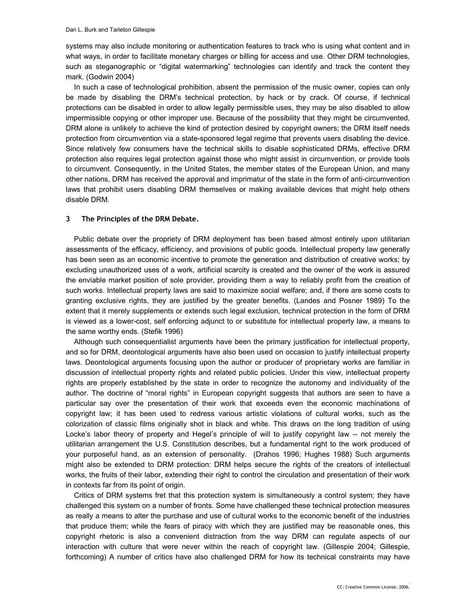systems may also include monitoring or authentication features to track who is using what content and in what ways, in order to facilitate monetary charges or billing for access and use. Other DRM technologies, such as steganographic or "digital watermarking" technologies can identify and track the content they mark. (Godwin 2004)

In such a case of technological prohibition, absent the permission of the music owner, copies can only be made by disabling the DRM's technical protection, by hack or by crack. Of course, if technical protections can be disabled in order to allow legally permissible uses, they may be also disabled to allow impermissible copying or other improper use. Because of the possibility that they might be circumvented, DRM alone is unlikely to achieve the kind of protection desired by copyright owners; the DRM itself needs protection from circumvention via a state-sponsored legal regime that prevents users disabling the device. Since relatively few consumers have the technical skills to disable sophisticated DRMs, effective DRM protection also requires legal protection against those who might assist in circumvention, or provide tools to circumvent. Consequently, in the United States, the member states of the European Union, and many other nations, DRM has received the approval and imprimatur of the state in the form of anti-circumvention laws that prohibit users disabling DRM themselves or making available devices that might help others disable DRM.

#### **3 The Principles of the DRM Debate.**

Public debate over the propriety of DRM deployment has been based almost entirely upon utilitarian assessments of the efficacy, efficiency, and provisions of public goods. Intellectual property law generally has been seen as an economic incentive to promote the generation and distribution of creative works; by excluding unauthorized uses of a work, artificial scarcity is created and the owner of the work is assured the enviable market position of sole provider, providing them a way to reliably profit from the creation of such works. Intellectual property laws are said to maximize social welfare; and, if there are some costs to granting exclusive rights, they are justified by the greater benefits. (Landes and Posner 1989) To the extent that it merely supplements or extends such legal exclusion, technical protection in the form of DRM is viewed as a lower-cost, self enforcing adjunct to or substitute for intellectual property law, a means to the same worthy ends. (Stefik 1996)

Although such consequentialist arguments have been the primary justification for intellectual property, and so for DRM, deontological arguments have also been used on occasion to justify intellectual property laws. Deontological arguments focusing upon the author or producer of proprietary works are familiar in discussion of intellectual property rights and related public policies. Under this view, intellectual property rights are properly established by the state in order to recognize the autonomy and individuality of the author. The doctrine of "moral rights" in European copyright suggests that authors are seen to have a particular say over the presentation of their work that exceeds even the economic machinations of copyright law; it has been used to redress various artistic violations of cultural works, such as the colorization of classic films originally shot in black and white. This draws on the long tradition of using Locke's labor theory of property and Hegel's principle of will to justify copyright law -- not merely the utilitarian arrangement the U.S. Constitution describes, but a fundamental right to the work produced of your purposeful hand, as an extension of personality. (Drahos 1996; Hughes 1988) Such arguments might also be extended to DRM protection: DRM helps secure the rights of the creators of intellectual works, the fruits of their labor, extending their right to control the circulation and presentation of their work in contexts far from its point of origin.

Critics of DRM systems fret that this protection system is simultaneously a control system; they have challenged this system on a number of fronts. Some have challenged these technical protection measures as really a means to alter the purchase and use of cultural works to the economic benefit of the industries that produce them; while the fears of piracy with which they are justified may be reasonable ones, this copyright rhetoric is also a convenient distraction from the way DRM can regulate aspects of our interaction with culture that were never within the reach of copyright law. (Gillespie 2004; Gillespie, forthcoming) A number of critics have also challenged DRM for how its technical constraints may have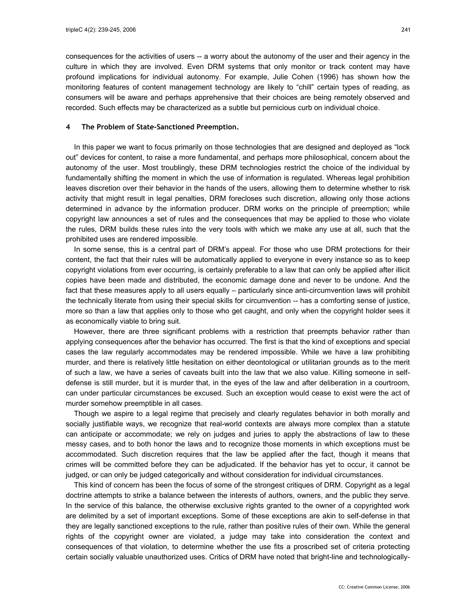consequences for the activities of users -- a worry about the autonomy of the user and their agency in the culture in which they are involved. Even DRM systems that only monitor or track content may have profound implications for individual autonomy. For example, Julie Cohen (1996) has shown how the monitoring features of content management technology are likely to "chill" certain types of reading, as consumers will be aware and perhaps apprehensive that their choices are being remotely observed and recorded. Such effects may be characterized as a subtle but pernicious curb on individual choice.

## **4 The Problem of State-Sanctioned Preemption.**

In this paper we want to focus primarily on those technologies that are designed and deployed as "lock out" devices for content, to raise a more fundamental, and perhaps more philosophical, concern about the autonomy of the user. Most troublingly, these DRM technologies restrict the choice of the individual by fundamentally shifting the moment in which the use of information is regulated. Whereas legal prohibition leaves discretion over their behavior in the hands of the users, allowing them to determine whether to risk activity that might result in legal penalties, DRM forecloses such discretion, allowing only those actions determined in advance by the information producer. DRM works on the principle of preemption; while copyright law announces a set of rules and the consequences that may be applied to those who violate the rules, DRM builds these rules into the very tools with which we make any use at all, such that the prohibited uses are rendered impossible.

In some sense, this is a central part of DRM's appeal. For those who use DRM protections for their content, the fact that their rules will be automatically applied to everyone in every instance so as to keep copyright violations from ever occurring, is certainly preferable to a law that can only be applied after illicit copies have been made and distributed, the economic damage done and never to be undone. And the fact that these measures apply to all users equally – particularly since anti-circumvention laws will prohibit the technically literate from using their special skills for circumvention -- has a comforting sense of justice, more so than a law that applies only to those who get caught, and only when the copyright holder sees it as economically viable to bring suit.

However, there are three significant problems with a restriction that preempts behavior rather than applying consequences after the behavior has occurred. The first is that the kind of exceptions and special cases the law regularly accommodates may be rendered impossible. While we have a law prohibiting murder, and there is relatively little hesitation on either deontological or utilitarian grounds as to the merit of such a law, we have a series of caveats built into the law that we also value. Killing someone in selfdefense is still murder, but it is murder that, in the eyes of the law and after deliberation in a courtroom, can under particular circumstances be excused. Such an exception would cease to exist were the act of murder somehow preemptible in all cases.

Though we aspire to a legal regime that precisely and clearly regulates behavior in both morally and socially justifiable ways, we recognize that real-world contexts are always more complex than a statute can anticipate or accommodate; we rely on judges and juries to apply the abstractions of law to these messy cases, and to both honor the laws and to recognize those moments in which exceptions must be accommodated. Such discretion requires that the law be applied after the fact, though it means that crimes will be committed before they can be adjudicated. If the behavior has yet to occur, it cannot be judged, or can only be judged categorically and without consideration for individual circumstances.

This kind of concern has been the focus of some of the strongest critiques of DRM. Copyright as a legal doctrine attempts to strike a balance between the interests of authors, owners, and the public they serve. In the service of this balance, the otherwise exclusive rights granted to the owner of a copyrighted work are delimited by a set of important exceptions. Some of these exceptions are akin to self-defense in that they are legally sanctioned exceptions to the rule, rather than positive rules of their own. While the general rights of the copyright owner are violated, a judge may take into consideration the context and consequences of that violation, to determine whether the use fits a proscribed set of criteria protecting certain socially valuable unauthorized uses. Critics of DRM have noted that bright-line and technologically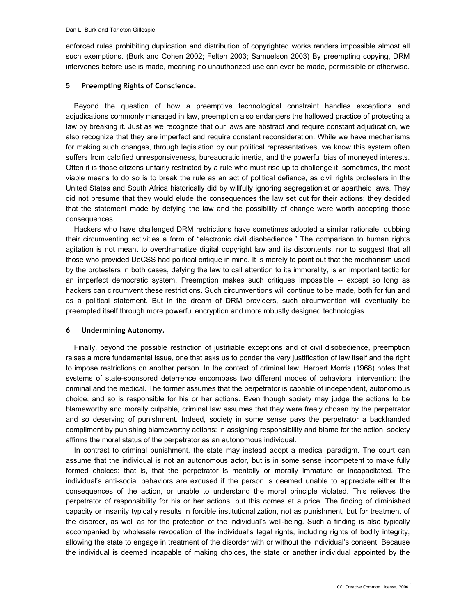enforced rules prohibiting duplication and distribution of copyrighted works renders impossible almost all such exemptions. (Burk and Cohen 2002; Felten 2003; Samuelson 2003) By preempting copying, DRM intervenes before use is made, meaning no unauthorized use can ever be made, permissible or otherwise.

## **5 Preempting Rights of Conscience.**

Beyond the question of how a preemptive technological constraint handles exceptions and adjudications commonly managed in law, preemption also endangers the hallowed practice of protesting a law by breaking it. Just as we recognize that our laws are abstract and require constant adjudication, we also recognize that they are imperfect and require constant reconsideration. While we have mechanisms for making such changes, through legislation by our political representatives, we know this system often suffers from calcified unresponsiveness, bureaucratic inertia, and the powerful bias of moneyed interests. Often it is those citizens unfairly restricted by a rule who must rise up to challenge it; sometimes, the most viable means to do so is to break the rule as an act of political defiance, as civil rights protesters in the United States and South Africa historically did by willfully ignoring segregationist or apartheid laws. They did not presume that they would elude the consequences the law set out for their actions; they decided that the statement made by defying the law and the possibility of change were worth accepting those consequences.

Hackers who have challenged DRM restrictions have sometimes adopted a similar rationale, dubbing their circumventing activities a form of "electronic civil disobedience." The comparison to human rights agitation is not meant to overdramatize digital copyright law and its discontents, nor to suggest that all those who provided DeCSS had political critique in mind. It is merely to point out that the mechanism used by the protesters in both cases, defying the law to call attention to its immorality, is an important tactic for an imperfect democratic system. Preemption makes such critiques impossible -- except so long as hackers can circumvent these restrictions. Such circumventions will continue to be made, both for fun and as a political statement. But in the dream of DRM providers, such circumvention will eventually be preempted itself through more powerful encryption and more robustly designed technologies.

## **6 Undermining Autonomy.**

Finally, beyond the possible restriction of justifiable exceptions and of civil disobedience, preemption raises a more fundamental issue, one that asks us to ponder the very justification of law itself and the right to impose restrictions on another person. In the context of criminal law, Herbert Morris (1968) notes that systems of state-sponsored deterrence encompass two different modes of behavioral intervention: the criminal and the medical. The former assumes that the perpetrator is capable of independent, autonomous choice, and so is responsible for his or her actions. Even though society may judge the actions to be blameworthy and morally culpable, criminal law assumes that they were freely chosen by the perpetrator and so deserving of punishment. Indeed, society in some sense pays the perpetrator a backhanded compliment by punishing blameworthy actions: in assigning responsibility and blame for the action, society affirms the moral status of the perpetrator as an autonomous individual.

In contrast to criminal punishment, the state may instead adopt a medical paradigm. The court can assume that the individual is not an autonomous actor, but is in some sense incompetent to make fully formed choices: that is, that the perpetrator is mentally or morally immature or incapacitated. The individual's anti-social behaviors are excused if the person is deemed unable to appreciate either the consequences of the action, or unable to understand the moral principle violated. This relieves the perpetrator of responsibility for his or her actions, but this comes at a price. The finding of diminished capacity or insanity typically results in forcible institutionalization, not as punishment, but for treatment of the disorder, as well as for the protection of the individual's well-being. Such a finding is also typically accompanied by wholesale revocation of the individual's legal rights, including rights of bodily integrity, allowing the state to engage in treatment of the disorder with or without the individual's consent. Because the individual is deemed incapable of making choices, the state or another individual appointed by the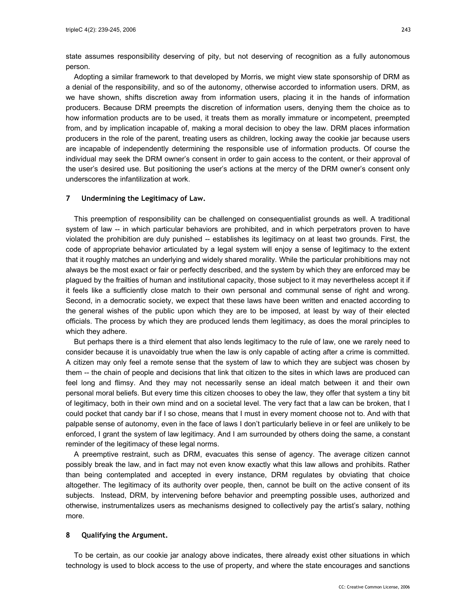state assumes responsibility deserving of pity, but not deserving of recognition as a fully autonomous person.

Adopting a similar framework to that developed by Morris, we might view state sponsorship of DRM as a denial of the responsibility, and so of the autonomy, otherwise accorded to information users. DRM, as we have shown, shifts discretion away from information users, placing it in the hands of information producers. Because DRM preempts the discretion of information users, denying them the choice as to how information products are to be used, it treats them as morally immature or incompetent, preempted from, and by implication incapable of, making a moral decision to obey the law. DRM places information producers in the role of the parent, treating users as children, locking away the cookie jar because users are incapable of independently determining the responsible use of information products. Of course the individual may seek the DRM owner's consent in order to gain access to the content, or their approval of the user's desired use. But positioning the user's actions at the mercy of the DRM owner's consent only underscores the infantilization at work.

#### **7 Undermining the Legitimacy of Law.**

This preemption of responsibility can be challenged on consequentialist grounds as well. A traditional system of law -- in which particular behaviors are prohibited, and in which perpetrators proven to have violated the prohibition are duly punished -- establishes its legitimacy on at least two grounds. First, the code of appropriate behavior articulated by a legal system will enjoy a sense of legitimacy to the extent that it roughly matches an underlying and widely shared morality. While the particular prohibitions may not always be the most exact or fair or perfectly described, and the system by which they are enforced may be plagued by the frailties of human and institutional capacity, those subject to it may nevertheless accept it if it feels like a sufficiently close match to their own personal and communal sense of right and wrong. Second, in a democratic society, we expect that these laws have been written and enacted according to the general wishes of the public upon which they are to be imposed, at least by way of their elected officials. The process by which they are produced lends them legitimacy, as does the moral principles to which they adhere.

But perhaps there is a third element that also lends legitimacy to the rule of law, one we rarely need to consider because it is unavoidably true when the law is only capable of acting after a crime is committed. A citizen may only feel a remote sense that the system of law to which they are subject was chosen by them -- the chain of people and decisions that link that citizen to the sites in which laws are produced can feel long and flimsy. And they may not necessarily sense an ideal match between it and their own personal moral beliefs. But every time this citizen chooses to obey the law, they offer that system a tiny bit of legitimacy, both in their own mind and on a societal level. The very fact that a law can be broken, that I could pocket that candy bar if I so chose, means that I must in every moment choose not to. And with that palpable sense of autonomy, even in the face of laws I don't particularly believe in or feel are unlikely to be enforced, I grant the system of law legitimacy. And I am surrounded by others doing the same, a constant reminder of the legitimacy of these legal norms.

A preemptive restraint, such as DRM, evacuates this sense of agency. The average citizen cannot possibly break the law, and in fact may not even know exactly what this law allows and prohibits. Rather than being contemplated and accepted in every instance, DRM regulates by obviating that choice altogether. The legitimacy of its authority over people, then, cannot be built on the active consent of its subjects. Instead, DRM, by intervening before behavior and preempting possible uses, authorized and otherwise, instrumentalizes users as mechanisms designed to collectively pay the artist's salary, nothing more.

#### **8 Qualifying the Argument.**

To be certain, as our cookie jar analogy above indicates, there already exist other situations in which technology is used to block access to the use of property, and where the state encourages and sanctions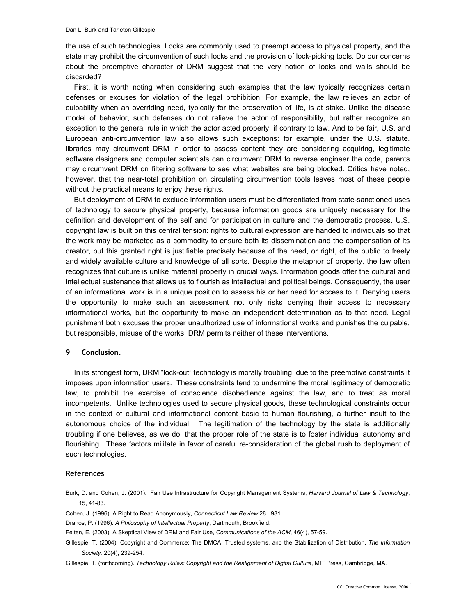the use of such technologies. Locks are commonly used to preempt access to physical property, and the state may prohibit the circumvention of such locks and the provision of lock-picking tools. Do our concerns about the preemptive character of DRM suggest that the very notion of locks and walls should be discarded?

First, it is worth noting when considering such examples that the law typically recognizes certain defenses or excuses for violation of the legal prohibition. For example, the law relieves an actor of culpability when an overriding need, typically for the preservation of life, is at stake. Unlike the disease model of behavior, such defenses do not relieve the actor of responsibility, but rather recognize an exception to the general rule in which the actor acted properly, if contrary to law. And to be fair, U.S. and European anti-circumvention law also allows such exceptions: for example, under the U.S. statute. libraries may circumvent DRM in order to assess content they are considering acquiring, legitimate software designers and computer scientists can circumvent DRM to reverse engineer the code, parents may circumvent DRM on filtering software to see what websites are being blocked. Critics have noted, however, that the near-total prohibition on circulating circumvention tools leaves most of these people without the practical means to enjoy these rights.

But deployment of DRM to exclude information users must be differentiated from state-sanctioned uses of technology to secure physical property, because information goods are uniquely necessary for the definition and development of the self and for participation in culture and the democratic process. U.S. copyright law is built on this central tension: rights to cultural expression are handed to individuals so that the work may be marketed as a commodity to ensure both its dissemination and the compensation of its creator, but this granted right is justifiable precisely because of the need, or right, of the public to freely and widely available culture and knowledge of all sorts. Despite the metaphor of property, the law often recognizes that culture is unlike material property in crucial ways. Information goods offer the cultural and intellectual sustenance that allows us to flourish as intellectual and political beings. Consequently, the user of an informational work is in a unique position to assess his or her need for access to it. Denying users the opportunity to make such an assessment not only risks denying their access to necessary informational works, but the opportunity to make an independent determination as to that need. Legal punishment both excuses the proper unauthorized use of informational works and punishes the culpable, but responsible, misuse of the works. DRM permits neither of these interventions.

#### **9 Conclusion.**

In its strongest form, DRM "lock-out" technology is morally troubling, due to the preemptive constraints it imposes upon information users. These constraints tend to undermine the moral legitimacy of democratic law, to prohibit the exercise of conscience disobedience against the law, and to treat as moral incompetents. Unlike technologies used to secure physical goods, these technological constraints occur in the context of cultural and informational content basic to human flourishing, a further insult to the autonomous choice of the individual. The legitimation of the technology by the state is additionally troubling if one believes, as we do, that the proper role of the state is to foster individual autonomy and flourishing. These factors militate in favor of careful re-consideration of the global rush to deployment of such technologies.

#### **References**

Burk, D. and Cohen, J. (2001). Fair Use Infrastructure for Copyright Management Systems, *Harvard Journal of Law & Technology*, 15, 41-83.

Cohen, J. (1996). A Right to Read Anonymously, *Connecticut Law Review* 28, 981

Drahos, P. (1996). *A Philosophy of Intellectual Property*, Dartmouth, Brookfield.

Felten, E. (2003). A Skeptical View of DRM and Fair Use, *Communications of the ACM*, 46(4), 57-59.

Gillespie, T. (2004). Copyright and Commerce: The DMCA, Trusted systems, and the Stabilization of Distribution, *The Information Society,* 20(4), 239-254.

Gillespie, T. (forthcoming). *Technology Rules: Copyright and the Realignment of Digital Culture*, MIT Press, Cambridge, MA.